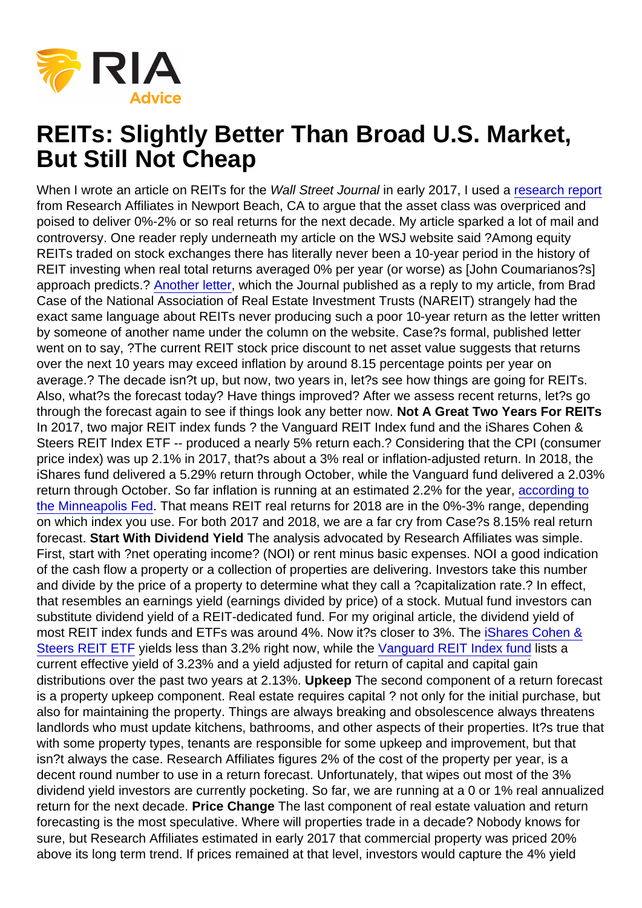## REITs: Slightly Better Than Broad U.S. Market, But Still Not Cheap

When I wrote an article on REITs for the Wall Street Journal in early 2017, I used a [research report](https://www.researchaffiliates.com/en_us/publications/articles/564_next_seasons_meager_harvest_in_commercial_real_estate.html?mod=article_inline) from Research Affiliates in Newport Beach, CA to argue that the asset class was overpriced and poised to deliver 0%-2% or so real returns for the next decade. My article sparked a lot of mail and controversy. One reader reply underneath my article on the WSJ website said ?Among equity REITs traded on stock exchanges there has literally never been a 10-year period in the history of REIT investing when real total returns averaged 0% per year (or worse) as [John Coumarianos?s] approach predicts.? [Another letter,](https://www.wsj.com/articles/reits-continue-to-be-quite-good-investments-1487203772) which the Journal published as a reply to my article, from Brad Case of the National Association of Real Estate Investment Trusts (NAREIT) strangely had the exact same language about REITs never producing such a poor 10-year return as the letter written by someone of another name under the column on the website. Case?s formal, published letter went on to say, ?The current REIT stock price discount to net asset value suggests that returns over the next 10 years may exceed inflation by around 8.15 percentage points per year on average.? The decade isn?t up, but now, two years in, let?s see how things are going for REITs. Also, what?s the forecast today? Have things improved? After we assess recent returns, let?s go through the forecast again to see if things look any better now. Not A Great Two Years For REITs In 2017, two major REIT index funds ? the Vanguard REIT Index fund and the iShares Cohen & Steers REIT Index ETF -- produced a nearly 5% return each.? Considering that the CPI (consumer price index) was up 2.1% in 2017, that?s about a 3% real or inflation-adjusted return. In 2018, the iShares fund delivered a 5.29% return through October, while the Vanguard fund delivered a 2.03% return through October. So far inflation is running at an estimated 2.2% for the year, [according to](https://www.minneapolisfed.org/community/financial-and-economic-education/cpi-calculator-information/consumer-price-index-and-inflation-rates-1913) [the Minneapolis Fed](https://www.minneapolisfed.org/community/financial-and-economic-education/cpi-calculator-information/consumer-price-index-and-inflation-rates-1913). That means REIT real returns for 2018 are in the 0%-3% range, depending on which index you use. For both 2017 and 2018, we are a far cry from Case?s 8.15% real return forecast. Start With Dividend Yield The analysis advocated by Research Affiliates was simple. First, start with ?net operating income? (NOI) or rent minus basic expenses. NOI a good indication of the cash flow a property or a collection of properties are delivering. Investors take this number and divide by the price of a property to determine what they call a ?capitalization rate.? In effect, that resembles an earnings yield (earnings divided by price) of a stock. Mutual fund investors can substitute dividend yield of a REIT-dedicated fund. For my original article, the dividend yield of most REIT index funds and ETFs was around 4%. Now it?s closer to 3%. The [iShares Cohen &](https://www.ishares.com/us/products/239482/?referrer=tickerSearch) [Steers REIT ETF](https://www.ishares.com/us/products/239482/?referrer=tickerSearch) yields less than 3.2% right now, while the [Vanguard REIT Index fund](https://personal.vanguard.com/us/FundsYieldDisclaimerREITFund?FundId=0123) lists a current effective yield of 3.23% and a yield adjusted for return of capital and capital gain distributions over the past two years at 2.13%. Upkeep The second component of a return forecast is a property upkeep component. Real estate requires capital ? not only for the initial purchase, but also for maintaining the property. Things are always breaking and obsolescence always threatens landlords who must update kitchens, bathrooms, and other aspects of their properties. It?s true that with some property types, tenants are responsible for some upkeep and improvement, but that isn?t always the case. Research Affiliates figures 2% of the cost of the property per year, is a decent round number to use in a return forecast. Unfortunately, that wipes out most of the 3% dividend yield investors are currently pocketing. So far, we are running at a 0 or 1% real annualized return for the next decade. Price Change The last component of real estate valuation and return forecasting is the most speculative. Where will properties trade in a decade? Nobody knows for sure, but Research Affiliates estimated in early 2017 that commercial property was priced 20% above its long term trend. If prices remained at that level, investors would capture the 4% yield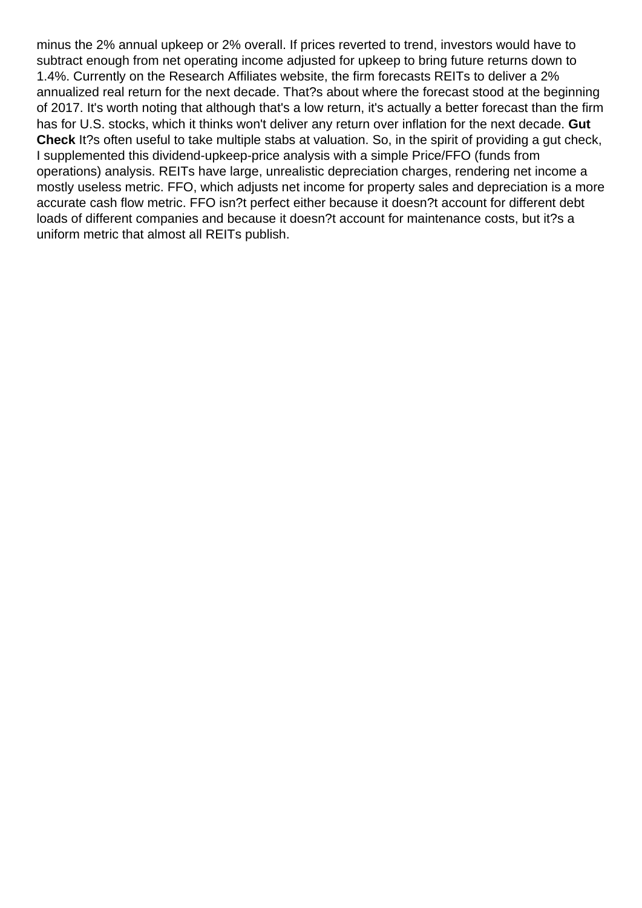minus the 2% annual upkeep or 2% overall. If prices reverted to trend, investors would have to subtract enough from net operating income adjusted for upkeep to bring future returns down to 1.4%. Currently on the Research Affiliates website, the firm forecasts REITs to deliver a 2% annualized real return for the next decade. That?s about where the forecast stood at the beginning of 2017. It's worth noting that although that's a low return, it's actually a better forecast than the firm has for U.S. stocks, which it thinks won't deliver any return over inflation for the next decade. **Gut Check** It?s often useful to take multiple stabs at valuation. So, in the spirit of providing a gut check, I supplemented this dividend-upkeep-price analysis with a simple Price/FFO (funds from operations) analysis. REITs have large, unrealistic depreciation charges, rendering net income a mostly useless metric. FFO, which adjusts net income for property sales and depreciation is a more accurate cash flow metric. FFO isn?t perfect either because it doesn?t account for different debt loads of different companies and because it doesn?t account for maintenance costs, but it?s a uniform metric that almost all REITs publish.